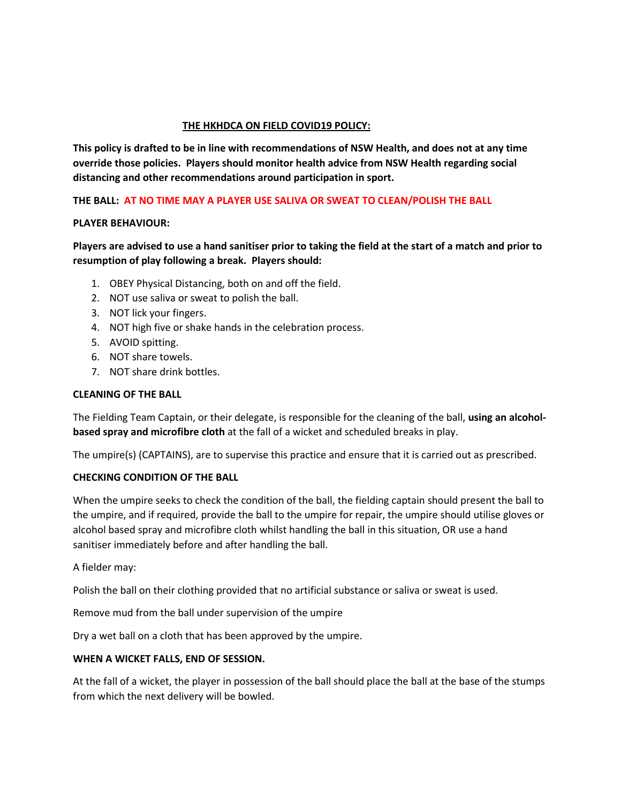### **THE HKHDCA ON FIELD COVID19 POLICY:**

**This policy is drafted to be in line with recommendations of NSW Health, and does not at any time override those policies. Players should monitor health advice from NSW Health regarding social distancing and other recommendations around participation in sport.**

## **THE BALL: AT NO TIME MAY A PLAYER USE SALIVA OR SWEAT TO CLEAN/POLISH THE BALL**

### **PLAYER BEHAVIOUR:**

# **Players are advised to use a hand sanitiser prior to taking the field at the start of a match and prior to resumption of play following a break. Players should:**

- 1. OBEY Physical Distancing, both on and off the field.
- 2. NOT use saliva or sweat to polish the ball.
- 3. NOT lick your fingers.
- 4. NOT high five or shake hands in the celebration process.
- 5. AVOID spitting.
- 6. NOT share towels.
- 7. NOT share drink bottles.

### **CLEANING OF THE BALL**

The Fielding Team Captain, or their delegate, is responsible for the cleaning of the ball, **using an alcoholbased spray and microfibre cloth** at the fall of a wicket and scheduled breaks in play.

The umpire(s) (CAPTAINS), are to supervise this practice and ensure that it is carried out as prescribed.

### **CHECKING CONDITION OF THE BALL**

When the umpire seeks to check the condition of the ball, the fielding captain should present the ball to the umpire, and if required, provide the ball to the umpire for repair, the umpire should utilise gloves or alcohol based spray and microfibre cloth whilst handling the ball in this situation, OR use a hand sanitiser immediately before and after handling the ball.

A fielder may:

Polish the ball on their clothing provided that no artificial substance or saliva or sweat is used.

Remove mud from the ball under supervision of the umpire

Dry a wet ball on a cloth that has been approved by the umpire.

### **WHEN A WICKET FALLS, END OF SESSION.**

At the fall of a wicket, the player in possession of the ball should place the ball at the base of the stumps from which the next delivery will be bowled.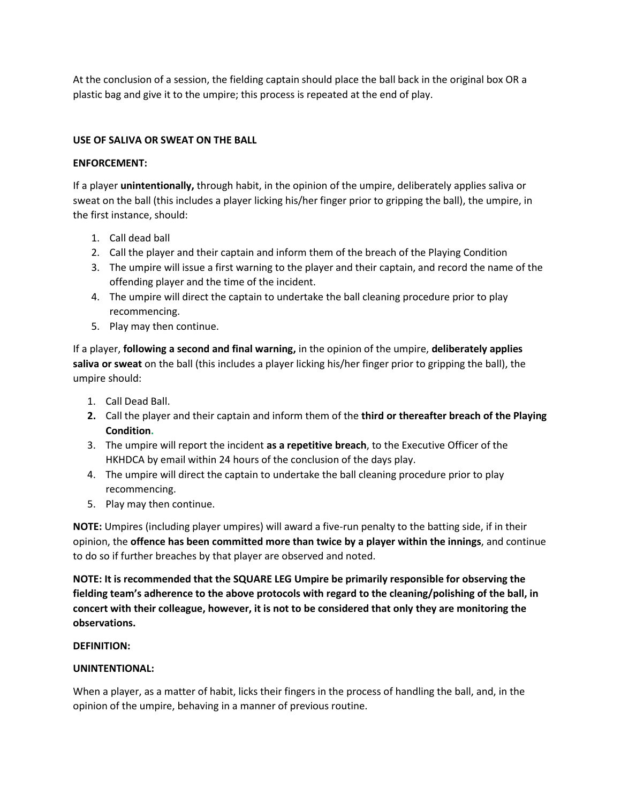At the conclusion of a session, the fielding captain should place the ball back in the original box OR a plastic bag and give it to the umpire; this process is repeated at the end of play.

# **USE OF SALIVA OR SWEAT ON THE BALL**

## **ENFORCEMENT:**

If a player **unintentionally,** through habit, in the opinion of the umpire, deliberately applies saliva or sweat on the ball (this includes a player licking his/her finger prior to gripping the ball), the umpire, in the first instance, should:

- 1. Call dead ball
- 2. Call the player and their captain and inform them of the breach of the Playing Condition
- 3. The umpire will issue a first warning to the player and their captain, and record the name of the offending player and the time of the incident.
- 4. The umpire will direct the captain to undertake the ball cleaning procedure prior to play recommencing.
- 5. Play may then continue.

If a player, **following a second and final warning,** in the opinion of the umpire, **deliberately applies saliva or sweat** on the ball (this includes a player licking his/her finger prior to gripping the ball), the umpire should:

- 1. Call Dead Ball.
- **2.** Call the player and their captain and inform them of the **third or thereafter breach of the Playing Condition.**
- 3. The umpire will report the incident **as a repetitive breach**, to the Executive Officer of the HKHDCA by email within 24 hours of the conclusion of the days play.
- 4. The umpire will direct the captain to undertake the ball cleaning procedure prior to play recommencing.
- 5. Play may then continue.

**NOTE:** Umpires (including player umpires) will award a five-run penalty to the batting side, if in their opinion, the **offence has been committed more than twice by a player within the innings**, and continue to do so if further breaches by that player are observed and noted.

**NOTE: It is recommended that the SQUARE LEG Umpire be primarily responsible for observing the fielding team's adherence to the above protocols with regard to the cleaning/polishing of the ball, in concert with their colleague, however, it is not to be considered that only they are monitoring the observations.**

# **DEFINITION:**

# **UNINTENTIONAL:**

When a player, as a matter of habit, licks their fingers in the process of handling the ball, and, in the opinion of the umpire, behaving in a manner of previous routine.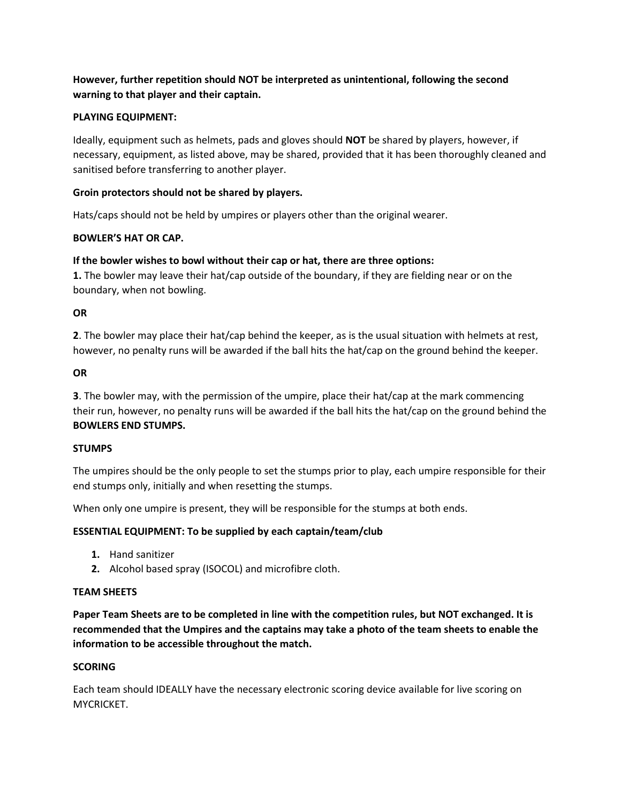# **However, further repetition should NOT be interpreted as unintentional, following the second warning to that player and their captain.**

# **PLAYING EQUIPMENT:**

Ideally, equipment such as helmets, pads and gloves should **NOT** be shared by players, however, if necessary, equipment, as listed above, may be shared, provided that it has been thoroughly cleaned and sanitised before transferring to another player.

# **Groin protectors should not be shared by players.**

Hats/caps should not be held by umpires or players other than the original wearer.

## **BOWLER'S HAT OR CAP.**

## **If the bowler wishes to bowl without their cap or hat, there are three options:**

**1.** The bowler may leave their hat/cap outside of the boundary, if they are fielding near or on the boundary, when not bowling.

### **OR**

**2**. The bowler may place their hat/cap behind the keeper, as is the usual situation with helmets at rest, however, no penalty runs will be awarded if the ball hits the hat/cap on the ground behind the keeper.

### **OR**

**3**. The bowler may, with the permission of the umpire, place their hat/cap at the mark commencing their run, however, no penalty runs will be awarded if the ball hits the hat/cap on the ground behind the **BOWLERS END STUMPS.**

## **STUMPS**

The umpires should be the only people to set the stumps prior to play, each umpire responsible for their end stumps only, initially and when resetting the stumps.

When only one umpire is present, they will be responsible for the stumps at both ends.

## **ESSENTIAL EQUIPMENT: To be supplied by each captain/team/club**

- **1.** Hand sanitizer
- **2.** Alcohol based spray (ISOCOL) and microfibre cloth.

### **TEAM SHEETS**

**Paper Team Sheets are to be completed in line with the competition rules, but NOT exchanged. It is recommended that the Umpires and the captains may take a photo of the team sheets to enable the information to be accessible throughout the match.**

### **SCORING**

Each team should IDEALLY have the necessary electronic scoring device available for live scoring on MYCRICKET.